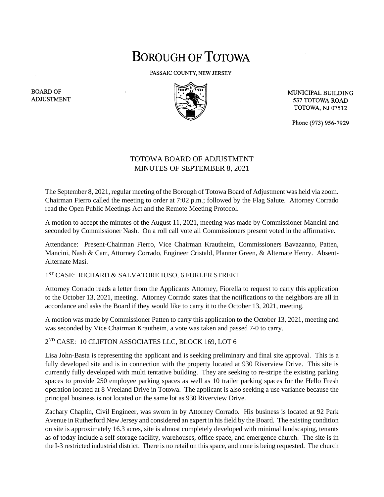# **BOROUGH OF TOTOWA**

PASSAIC COUNTY, NEW JERSEY



MUNICIPAL BUILDING 537 TOTOWA ROAD **TOTOWA, NJ 07512** 

Phone (973) 956-7929

## TOTOWA BOARD OF ADJUSTMENT MINUTES OF SEPTEMBER 8, 2021

The September 8, 2021, regular meeting of the Borough of Totowa Board of Adjustment was held via zoom. Chairman Fierro called the meeting to order at 7:02 p.m.; followed by the Flag Salute. Attorney Corrado read the Open Public Meetings Act and the Remote Meeting Protocol.

A motion to accept the minutes of the August 11, 2021, meeting was made by Commissioner Mancini and seconded by Commissioner Nash. On a roll call vote all Commissioners present voted in the affirmative.

Attendance: Present-Chairman Fierro, Vice Chairman Krautheim, Commissioners Bavazanno, Patten, Mancini, Nash & Carr, Attorney Corrado, Engineer Cristald, Planner Green, & Alternate Henry. Absent-Alternate Masi.

### 1 ST CASE: RICHARD & SALVATORE IUSO, 6 FURLER STREET

Attorney Corrado reads a letter from the Applicants Attorney, Fiorella to request to carry this application to the October 13, 2021, meeting. Attorney Corrado states that the notifications to the neighbors are all in accordance and asks the Board if they would like to carry it to the October 13, 2021, meeting.

A motion was made by Commissioner Patten to carry this application to the October 13, 2021, meeting and was seconded by Vice Chairman Krautheim, a vote was taken and passed 7-0 to carry.

### 2 ND CASE: 10 CLIFTON ASSOCIATES LLC, BLOCK 169, LOT 6

Lisa John-Basta is representing the applicant and is seeking preliminary and final site approval. This is a fully developed site and is in connection with the property located at 930 Riverview Drive. This site is currently fully developed with multi tentative building. They are seeking to re-stripe the existing parking spaces to provide 250 employee parking spaces as well as 10 trailer parking spaces for the Hello Fresh operation located at 8 Vreeland Drive in Totowa. The applicant is also seeking a use variance because the principal business is not located on the same lot as 930 Riverview Drive.

Zachary Chaplin, Civil Engineer, was sworn in by Attorney Corrado. His business is located at 92 Park Avenue in Rutherford New Jersey and considered an expert in his field by the Board. The existing condition on site is approximately 16.3 acres, site is almost completely developed with minimal landscaping, tenants as of today include a self-storage facility, warehouses, office space, and emergence church. The site is in the I-3 restricted industrial district. There is no retail on this space, and none is being requested. The church

**BOARD OF ADJUSTMENT**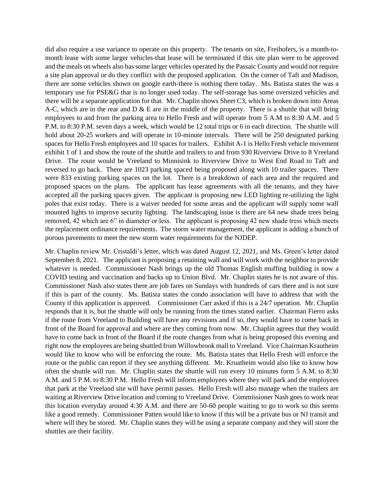did also require a use variance to operate on this property. The tenants on site, Freihofers, is a month-tomonth lease with some larger vehicles-that lease will be terminated if this site plan were to be approved and the meals on wheels also has some larger vehicles operated by the Passaic County and would not require a site plan approval or do they conflict with the proposed application. On the corner of Taft and Madison, there are some vehicles shown on google earth-there is nothing there today. Ms. Batista states the was a temporary use for PSE&G that is no longer used today. The self-storage has some oversized vehicles and there will be a separate application for that. Mr. Chaplin shows Sheet C3, which is broken down into Areas A-C, which are in the rear and  $D \& E$  are in the middle of the property. There is a shuttle that will bring employees to and from the parking area to Hello Fresh and will operate from 5 A.M to 8:30 A.M. and 5 P.M. to 8:30 P.M. seven days a week, which would be 12 total trips or 6 in each direction. The shuttle will hold about 20-25 workers and will operate in 10-minute intervals. There will be 250 designated parking spaces for Hello Fresh employees and 10 spaces for trailers. Exhibit A-1 is Hello Fresh vehicle movement exhibit 1 of 1 and show the route of the shuttle and trailers to and from 930 Riverview Drive to 8 Vreeland Drive. The route would be Vreeland to Minnisink to Riverview Drive to West End Road to Taft and reversed to go back. There are 1023 parking spaced being proposed along with 10 trailer spaces. There were 833 existing parking spaces on the lot. There is a breakdown of each area and the required and proposed spaces on the plans. The applicant has lease agreements with all the tenants, and they have accepted all the parking spaces given. The applicant is proposing new LED lighting re-utilizing the light poles that exist today. There is a waiver needed for some areas and the applicant will supply some wall mounted lights to improve security lighting. The landscaping issue is there are 64 new shade trees being removed, 42 which are 6" in diameter or less. The applicant is proposing 42 new shade tress which meets the replacement ordinance requirements. The storm water management, the applicant is adding a bunch of porous pavements to meet the new storm water requirements for the NJDEP.

Mr. Chaplin review Mr. Cristaldi's letter, which was dated August 12, 2021, and Ms. Green's letter dated September 8, 2021. The applicant is proposing a retaining wall and will work with the neighbor to provide whatever is needed. Commissioner Nash brings up the old Thomas English muffing building is now a COVID testing and vaccination and backs up to Union Blvd. Mr. Chaplin states he is not aware of this. Commissioner Nash also states there are job fares on Sundays with hundreds of cars there and is not sure if this is part of the county. Ms. Batista states the condo association will have to address that with the County if this application is approved. Commissioner Carr asked if this is a 24/7 operation. Mr. Chaplin responds that it is, but the shuttle will only be running from the times stated earlier. Chairman Fierro asks if the route from Vreeland to Building will have any revisions and if so, they would have to come back in front of the Board for approval and where are they coming from now. Mr. Chaplin agrees that they would have to come back in front of the Board if the route changes from what is being proposed this evening and right now the employees are being shuttled from Willowbrook mall to Vreeland. Vice Chairman Krautheim would like to know who will be enforcing the route. Ms. Batista states that Hello Fresh will enforce the route or the public can report if they see anything different. Mr. Kruatheim would also like to know how often the shuttle will run. Mr. Chaplin states the shuttle will run every 10 minutes form 5 A.M. to 8:30 A.M. and 5 P.M. to 8:30 P.M. Hello Fresh will inform employees where they will park and the employees that park at the Vreeland site will have permit passes. Hello Fresh will also manage when the trailers are waiting at Riverview Drive location and coming to Vreeland Drive. Commissioner Nash goes to work near this location everyday around 4:30 A.M. and there are 50-60 people waiting to go to work so this seems like a good remedy. Commissioner Patten would like to know if this will be a private bus or NJ transit and where will they be stored. Mr. Chaplin states they will be using a separate company and they will store the shuttles are their facility.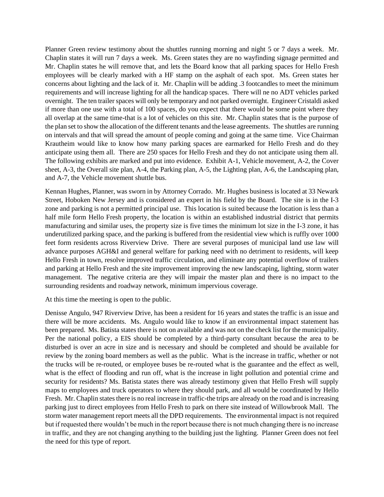Planner Green review testimony about the shuttles running morning and night 5 or 7 days a week. Mr. Chaplin states it will run 7 days a week. Ms. Green states they are no wayfinding signage permitted and Mr. Chaplin states he will remove that, and lets the Board know that all parking spaces for Hello Fresh employees will be clearly marked with a HF stamp on the asphalt of each spot. Ms. Green states her concerns about lighting and the lack of it. Mr. Chaplin will be adding .3 footcandles to meet the minimum requirements and will increase lighting for all the handicap spaces. There will ne no ADT vehicles parked overnight. The ten trailer spaces will only be temporary and not parked overnight. Engineer Cristaldi asked if more than one use with a total of 100 spaces, do you expect that there would be some point where they all overlap at the same time-that is a lot of vehicles on this site. Mr. Chaplin states that is the purpose of the plan set to show the allocation of the different tenants and the lease agreements. The shuttles are running on intervals and that will spread the amount of people coming and going at the same time. Vice Chairman Krautheim would like to know how many parking spaces are earmarked for Hello Fresh and do they anticipate using them all. There are 250 spaces for Hello Fresh and they do not anticipate using them all. The following exhibits are marked and put into evidence. Exhibit A-1, Vehicle movement, A-2, the Cover sheet, A-3, the Overall site plan, A-4, the Parking plan, A-5, the Lighting plan, A-6, the Landscaping plan, and A-7, the Vehicle movement shuttle bus.

Kennan Hughes, Planner, was sworn in by Attorney Corrado. Mr. Hughes business is located at 33 Newark Street, Hoboken New Jersey and is considered an expert in his field by the Board. The site is in the I-3 zone and parking is not a permitted principal use. This location is suited because the location is less than a half mile form Hello Fresh property, the location is within an established industrial district that permits manufacturing and similar uses, the property size is five times the minimum lot size in the I-3 zone, it has underutilized parking space, and the parking is buffered from the residential view which is ruffly over 1000 feet form residents across Riverview Drive. There are several purposes of municipal land use law will advance purposes AGH&I and general welfare for parking need with no detriment to residents, will keep Hello Fresh in town, resolve improved traffic circulation, and eliminate any potential overflow of trailers and parking at Hello Fresh and the site improvement improving the new landscaping, lighting, storm water management. The negative criteria are they will impair the master plan and there is no impact to the surrounding residents and roadway network, minimum impervious coverage.

At this time the meeting is open to the public.

Denisse Angulo, 947 Riverview Drive, has been a resident for 16 years and states the traffic is an issue and there will be more accidents. Ms. Angulo would like to know if an environmental impact statement has been prepared. Ms. Batista states there is not on available and was not on the check list for the municipality. Per the national policy, a EIS should be completed by a third-party consultant because the area to be disturbed is over an acre in size and is necessary and should be completed and should be available for review by the zoning board members as well as the public. What is the increase in traffic, whether or not the trucks will be re-routed, or employee buses be re-routed what is the guarantee and the effect as well, what is the effect of flooding and run off, what is the increase in light pollution and potential crime and security for residents? Ms. Batista states there was already testimony given that Hello Fresh will supply maps to employees and truck operators to where they should park, and all would be coordinated by Hello Fresh. Mr. Chaplin states there is no real increase in traffic-the trips are already on the road and is increasing parking just to direct employees from Hello Fresh to park on there site instead of Willowbrook Mall. The storm water management report meets all the DPD requirements. The environmental impact is not required but if requested there wouldn't be much in the report because there is not much changing there is no increase in traffic, and they are not changing anything to the building just the lighting. Planner Green does not feel the need for this type of report.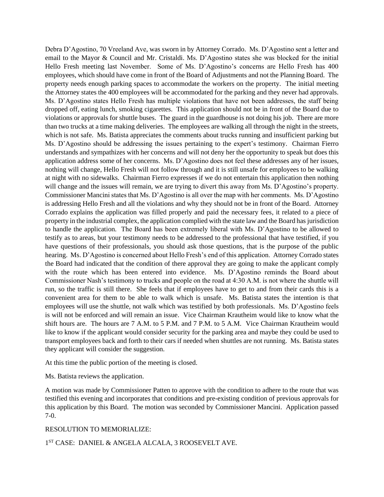Debra D'Agostino, 70 Vreeland Ave, was sworn in by Attorney Corrado. Ms. D'Agostino sent a letter and email to the Mayor & Council and Mr. Cristaldi. Ms. D'Agostino states she was blocked for the initial Hello Fresh meeting last November. Some of Ms. D'Agostino's concerns are Hello Fresh has 400 employees, which should have come in front of the Board of Adjustments and not the Planning Board. The property needs enough parking spaces to accommodate the workers on the property. The initial meeting the Attorney states the 400 employees will be accommodated for the parking and they never had approvals. Ms. D'Agostino states Hello Fresh has multiple violations that have not been addresses, the staff being dropped off, eating lunch, smoking cigarettes. This application should not be in front of the Board due to violations or approvals for shuttle buses. The guard in the guardhouse is not doing his job. There are more than two trucks at a time making deliveries. The employees are walking all through the night in the streets, which is not safe. Ms. Batista appreciates the comments about trucks running and insufficient parking but Ms. D'Agostino should be addressing the issues pertaining to the expert's testimony. Chairman Fierro understands and sympathizes with her concerns and will not deny her the opportunity to speak but does this application address some of her concerns. Ms. D'Agostino does not feel these addresses any of her issues, nothing will change, Hello Fresh will not follow through and it is still unsafe for employees to be walking at night with no sidewalks. Chairman Fierro expresses if we do not entertain this application then nothing will change and the issues will remain, we are trying to divert this away from Ms. D'Agostino's property. Commissioner Mancini states that Ms. D'Agostino is all over the map with her comments. Ms. D'Agostino is addressing Hello Fresh and all the violations and why they should not be in front of the Board. Attorney Corrado explains the application was filled properly and paid the necessary fees, it related to a piece of property in the industrial complex, the application complied with the state law and the Board has jurisdiction to handle the application. The Board has been extremely liberal with Ms. D'Agostino to be allowed to testify as to areas, but your testimony needs to be addressed to the professional that have testified, if you have questions of their professionals, you should ask those questions, that is the purpose of the public hearing. Ms. D'Agostino is concerned about Hello Fresh's end of this application. Attorney Corrado states the Board had indicated that the condition of there approval they are going to make the applicant comply with the route which has been entered into evidence. Ms. D'Agostino reminds the Board about Commissioner Nash's testimony to trucks and people on the road at 4:30 A.M. is not where the shuttle will run, so the traffic is still there. She feels that if employees have to get to and from their cards this is a convenient area for them to be able to walk which is unsafe. Ms. Batista states the intention is that employees will use the shuttle, not walk which was testified by both professionals. Ms. D'Agostino feels is will not be enforced and will remain an issue. Vice Chairman Krautheim would like to know what the shift hours are. The hours are 7 A.M. to 5 P.M. and 7 P.M. to 5 A.M. Vice Chairman Krautheim would like to know if the applicant would consider security for the parking area and maybe they could be used to transport employees back and forth to their cars if needed when shuttles are not running. Ms. Batista states they applicant will consider the suggestion.

At this time the public portion of the meeting is closed.

Ms. Batista reviews the application.

A motion was made by Commissioner Patten to approve with the condition to adhere to the route that was testified this evening and incorporates that conditions and pre-existing condition of previous approvals for this application by this Board. The motion was seconded by Commissioner Mancini. Application passed 7-0.

### RESOLUTION TO MEMORIALIZE:

1 ST CASE: DANIEL & ANGELA ALCALA, 3 ROOSEVELT AVE.